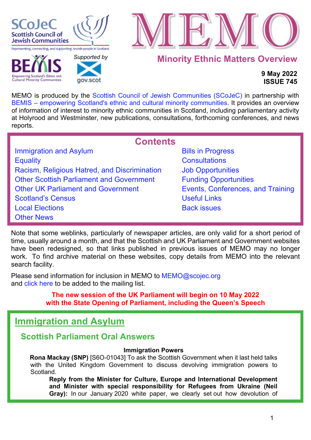

**Cultural Minority Communities** 

 *[Supported b](http://www.gov.scot/)y* 

COV SCOT



**Minority Ethnic Matters Overview**

## **9 May 2022 ISSUE 745**

MEMO is produced by the [Scottish Council of Jewish Communities \(SCoJeC\)](https://www.scojec.org/index.html) in partnership with [BEMIS – empowering Scotland's ethnic and cultural minority communities.](https://bemis.org.uk/) It provides an overview of information of interest to minority ethnic communities in Scotland, including parliamentary activity at Holyrood and Westminster, new publications, consultations, forthcoming conferences, and news reports.

<span id="page-0-1"></span>

| <b>Contents</b>                                 |                                   |  |
|-------------------------------------------------|-----------------------------------|--|
| <b>Immigration and Asylum</b>                   | <b>Bills in Progress</b>          |  |
| <b>Equality</b>                                 | <b>Consultations</b>              |  |
| Racism, Religious Hatred, and Discrimination    | <b>Job Opportunities</b>          |  |
| <b>Other Scottish Parliament and Government</b> | <b>Funding Opportunities</b>      |  |
| <b>Other UK Parliament and Government</b>       | Events, Conferences, and Training |  |
| <b>Scotland's Census</b>                        | <b>Useful Links</b>               |  |
| <b>Local Elections</b>                          | <b>Back issues</b>                |  |
| <b>Other News</b>                               |                                   |  |

Note that some weblinks, particularly of newspaper articles, are only valid for a short period of time, usually around a month, and that the Scottish and UK Parliament and Government websites have been redesigned, so that links published in previous issues of MEMO may no longer work. To find archive material on these websites, copy details from MEMO into the relevant search facility.

Please send information for inclusion in MEMO to MEMO@scojec.org and [click here](https://www.scojec.org/memo/subscribe/subscribe.html) to be added to the mailing list.

> **The new session of the UK Parliament will begin on 10 May 2022 with the State Opening of Parliament, including the Queen's Speech**

# <span id="page-0-0"></span>**Immigration and Asylum**

## **Scottish Parliament Oral Answers**

## **Immigration Powers**

**Rona Mackay (SNP)** [S6O-01043] To ask the Scottish Government when it last held talks with the United Kingdom Government to discuss devolving immigration powers to Scotland.

**Reply from the Minister for Culture, Europe and International Development and Minister with special responsibility for Refugees from Ukraine (Neil Gray):** In our January 2020 white paper, we clearly set out how devolution of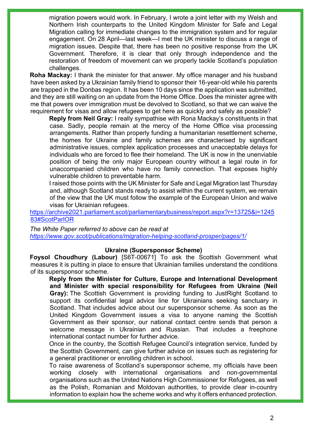migration powers would work. In February, I wrote a joint letter with my Welsh and Northern Irish counterparts to the United Kingdom Minister for Safe and Legal Migration calling for immediate changes to the immigration system and for regular engagement. On 28 April—last week—I met the UK minister to discuss a range of migration issues. Despite that, there has been no positive response from the UK Government. Therefore, it is clear that only through independence and the restoration of freedom of movement can we properly tackle Scotland's population challenges.

**Roha Mackay:** I thank the minister for that answer. My office manager and his husband have been asked by a Ukrainian family friend to sponsor their 16-year-old while his parents are trapped in the Donbas region. It has been 10 days since the application was submitted, and they are still waiting on an update from the Home Office. Does the minister agree with me that powers over immigration must be devolved to Scotland, so that we can waive the requirement for visas and allow refugees to get here as quickly and safely as possible?

**Reply from Neil Gray:** I really sympathise with Rona Mackay's constituents in that case. Sadly, people remain at the mercy of the Home Office visa processing arrangements. Rather than properly funding a humanitarian resettlement scheme, the homes for Ukraine and family schemes are characterised by significant administrative issues, complex application processes and unacceptable delays for individuals who are forced to flee their homeland. The UK is now in the unenviable position of being the only major European country without a legal route in for unaccompanied children who have no family connection. That exposes highly vulnerable children to preventable harm.

I raised those points with the UK Minister for Safe and Legal Migration last Thursday and, although Scotland stands ready to assist within the current system, we remain of the view that the UK must follow the example of the European Union and waive visas for Ukrainian refugees.

[https://archive2021.parliament.scot/parliamentarybusiness/report.aspx?r=13725&i=1245](https://archive2021.parliament.scot/parliamentarybusiness/report.aspx?r=13725&i=124583#ScotParlOR) [83#ScotParlOR](https://archive2021.parliament.scot/parliamentarybusiness/report.aspx?r=13725&i=124583#ScotParlOR)

*The White Paper referred to above can be read at <https://www.gov.scot/publications/migration-helping-scotland-prosper/pages/1/>*

#### **Ukraine (Supersponsor Scheme)**

**Foysol Choudhury (Labour)** [S6T-00671] To ask the Scottish Government what measures it is putting in place to ensure that Ukrainian families understand the conditions of its supersponsor scheme.

**Reply from the Minister for Culture, Europe and International Development and Minister with special responsibility for Refugees from Ukraine (Neil Gray):** The Scottish Government is providing funding to JustRight Scotland to support its confidential legal advice line for Ukrainians seeking sanctuary in Scotland. That includes advice about our supersponsor scheme. As soon as the United Kingdom Government issues a visa to anyone naming the Scottish Government as their sponsor, our national contact centre sends that person a welcome message in Ukrainian and Russian. That includes a freephone international contact number for further advice.

Once in the country, the Scottish Refugee Council's integration service, funded by the Scottish Government, can give further advice on issues such as registering for a general practitioner or enrolling children in school.

To raise awareness of Scotland's supersponsor scheme, my officials have been working closely with international organisations and non-governmental organisations such as the United Nations High Commissioner for Refugees, as well as the Polish, Romanian and Moldovan authorities, to provide clear in-country information to explain how the scheme works and why it offers enhanced protection.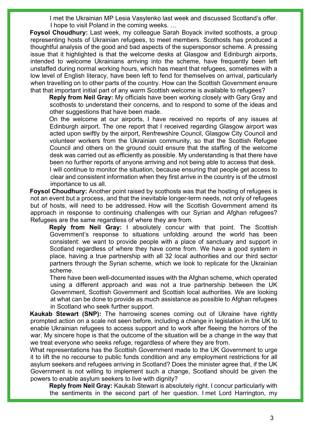I met the Ukrainian MP Lesia Vasylenko last week and discussed Scotland's offer. I hope to visit Poland in the coming weeks. …

**Foysol Choudhury:** Last week, my colleague Sarah Boyack invited scothosts, a group representing hosts of Ukrainian refugees, to meet members. Scothosts has produced a thoughtful analysis of the good and bad aspects of the supersponsor scheme. A pressing issue that it highlighted is that the welcome desks at Glasgow and Edinburgh airports, intended to welcome Ukrainians arriving into the scheme, have frequently been left unstaffed during normal working hours, which has meant that refugees, sometimes with a low level of English literacy, have been left to fend for themselves on arrival, particularly when travelling on to other parts of the country. How can the Scottish Government ensure that that important initial part of any warm Scottish welcome is available to refugees?

**Reply from Neil Gray:** My officials have been working closely with Gary Gray and scothosts to understand their concerns, and to respond to some of the ideas and other suggestions that have been made.

On the welcome at our airports, I have received no reports of any issues at Edinburgh airport. The one report that I received regarding Glasgow airport was acted upon swiftly by the airport, Renfrewshire Council, Glasgow City Council and volunteer workers from the Ukrainian community, so that the Scottish Refugee Council and others on the ground could ensure that the staffing of the welcome desk was carried out as efficiently as possible. My understanding is that there have been no further reports of anyone arriving and not being able to access that desk.

I will continue to monitor the situation, because ensuring that people get access to clear and consistent information when they first arrive in the country is of the utmost importance to us all.

**Foysol Choudhury:** Another point raised by scothosts was that the hosting of refugees is not an event but a process, and that the inevitable longer-term needs, not only of refugees but of hosts, will need to be addressed. How will the Scottish Government amend its approach in response to continuing challenges with our Syrian and Afghan refugees? Refugees are the same regardless of where they are from.

**Reply from Neil Gray:** I absolutely concur with that point. The Scottish Government's response to situations unfolding around the world has been consistent: we want to provide people with a place of sanctuary and support in Scotland regardless of where they have come from. We have a good system in place, having a true partnership with all 32 local authorities and our third sector partners through the Syrian scheme, which we look to replicate for the Ukrainian scheme.

There have been well-documented issues with the Afghan scheme, which operated using a different approach and was not a true partnership between the UK Government, Scottish Government and Scottish local authorities. We are looking at what can be done to provide as much assistance as possible to Afghan refugees in Scotland who seek further support.

**Kaukab Stewart (SNP):** The harrowing scenes coming out of Ukraine have rightly prompted action on a scale not seen before, including a change in legislation in the UK to enable Ukrainian refugees to access support and to work after fleeing the horrors of the war. My sincere hope is that the outcome of the situation will be a change in the way that we treat everyone who seeks refuge, regardless of where they are from.

What representations has the Scottish Government made to the UK Government to urge it to lift the no recourse to public funds condition and any employment restrictions for all asylum seekers and refugees arriving in Scotland? Does the minister agree that, if the UK Government is not willing to implement such a change, Scotland should be given the powers to enable asylum seekers to live with dignity?

**Reply from Neil Gray:** Kaukab Stewart is absolutely right. I concur particularly with the sentiments in the second part of her question. I met Lord Harrington, my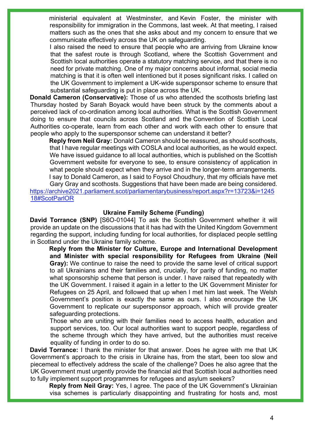ministerial equivalent at Westminster, and Kevin Foster, the minister with responsibility for immigration in the Commons, last week. At that meeting, I raised matters such as the ones that she asks about and my concern to ensure that we communicate effectively across the UK on safeguarding.

I also raised the need to ensure that people who are arriving from Ukraine know that the safest route is through Scotland, where the Scottish Government and Scottish local authorities operate a statutory matching service, and that there is no need for private matching. One of my major concerns about informal, social media matching is that it is often well intentioned but it poses significant risks. I called on the UK Government to implement a UK-wide supersponsor scheme to ensure that substantial safeguarding is put in place across the UK.

**Donald Cameron (Conservative):** Those of us who attended the scothosts briefing last Thursday hosted by Sarah Boyack would have been struck by the comments about a perceived lack of co-ordination among local authorities. What is the Scottish Government doing to ensure that councils across Scotland and the Convention of Scottish Local Authorities co-operate, learn from each other and work with each other to ensure that people who apply to the supersponsor scheme can understand it better?

**Reply from Neil Gray:** Donald Cameron should be reassured, as should scothosts, that I have regular meetings with COSLA and local authorities, as he would expect. We have issued guidance to all local authorities, which is published on the Scottish Government website for everyone to see, to ensure consistency of application in what people should expect when they arrive and in the longer-term arrangements. I say to Donald Cameron, as I said to Foysol Choudhury, that my officials have met

Gary Gray and scothosts. Suggestions that have been made are being considered. [https://archive2021.parliament.scot/parliamentarybusiness/report.aspx?r=13723&i=1245](https://archive2021.parliament.scot/parliamentarybusiness/report.aspx?r=13723&i=124518#ScotParlOR) [18#ScotParlOR](https://archive2021.parliament.scot/parliamentarybusiness/report.aspx?r=13723&i=124518#ScotParlOR)

#### **Ukraine Family Scheme (Funding)**

**David Torrance (SNP)** [S6O-01044] To ask the Scottish Government whether it will provide an update on the discussions that it has had with the United Kingdom Government regarding the support, including funding for local authorities, for displaced people settling in Scotland under the Ukraine family scheme.

**Reply from the Minister for Culture, Europe and International Development and Minister with special responsibility for Refugees from Ukraine (Neil Gray):** We continue to raise the need to provide the same level of critical support to all Ukrainians and their families and, crucially, for parity of funding, no matter what sponsorship scheme that person is under. I have raised that repeatedly with the UK Government. I raised it again in a letter to the UK Government Minister for Refugees on 25 April, and followed that up when I met him last week. The Welsh Government's position is exactly the same as ours. I also encourage the UK Government to replicate our supersponsor approach, which will provide greater safeguarding protections.

Those who are uniting with their families need to access health, education and support services, too. Our local authorities want to support people, regardless of the scheme through which they have arrived, but the authorities must receive equality of funding in order to do so.

**David Torrance:** I thank the minister for that answer. Does he agree with me that UK Government's approach to the crisis in Ukraine has, from the start, been too slow and piecemeal to effectively address the scale of the challenge? Does he also agree that the UK Government must urgently provide the financial aid that Scottish local authorities need to fully implement support programmes for refugees and asylum seekers?

**Reply from Neil Gray:** Yes, I agree. The pace of the UK Government's Ukrainian visa schemes is particularly disappointing and frustrating for hosts and, most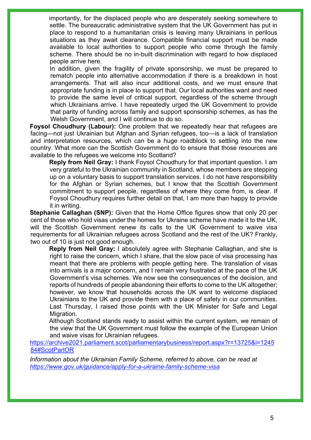importantly, for the displaced people who are desperately seeking somewhere to settle. The bureaucratic administrative system that the UK Government has put in place to respond to a humanitarian crisis is leaving many Ukrainians in perilous situations as they await clearance. Compatible financial support must be made available to local authorities to support people who come through the family scheme. There should be no in-built discrimination with regard to how displaced people arrive here.

In addition, given the fragility of private sponsorship, we must be prepared to rematch people into alternative accommodation if there is a breakdown in host arrangements. That will also incur additional costs, and we must ensure that appropriate funding is in place to support that. Our local authorities want and need to provide the same level of critical support, regardless of the scheme through which Ukrainians arrive. I have repeatedly urged the UK Government to provide that parity of funding across family and support sponsorship schemes, as has the Welsh Government, and I will continue to do so.

**Foysol Choudhury (Labour):** One problem that we repeatedly hear that refugees are facing—not just Ukrainian but Afghan and Syrian refugees, too—is a lack of translation and interpretation resources, which can be a huge roadblock to settling into the new country. What more can the Scottish Government do to ensure that those resources are available to the refugees we welcome into Scotland?

**Reply from Neil Gray:** I thank Foysol Choudhury for that important question. I am very grateful to the Ukrainian community in Scotland, whose members are stepping up on a voluntary basis to support translation services. I do not have responsibility for the Afghan or Syrian schemes, but I know that the Scottish Government commitment to support people, regardless of where they come from, is clear. If Foysol Choudhury requires further detail on that, I am more than happy to provide it in writing.

**Stephanie Callaghan (SNP):** Given that the Home Office figures show that only 20 per cent of those who hold visas under the homes for Ukraine scheme have made it to the UK, will the Scottish Government renew its calls to the UK Government to waive visa requirements for all Ukrainian refugees across Scotland and the rest of the UK? Frankly, two out of 10 is just not good enough.

**Reply from Neil Gray:** I absolutely agree with Stephanie Callaghan, and she is right to raise the concern, which I share, that the slow pace of visa processing has meant that there are problems with people getting here. The translation of visas into arrivals is a major concern, and I remain very frustrated at the pace of the UK Government's visa schemes. We now see the consequences of the decision, and reports of hundreds of people abandoning their efforts to come to the UK altogether; however, we know that households across the UK want to welcome displaced Ukrainians to the UK and provide them with a place of safety in our communities. Last Thursday, I raised those points with the UK Minister for Safe and Legal Migration.

Although Scotland stands ready to assist within the current system, we remain of the view that the UK Government must follow the example of the European Union and waive visas for Ukrainian refugees.

[https://archive2021.parliament.scot/parliamentarybusiness/report.aspx?r=13725&i=1245](https://archive2021.parliament.scot/parliamentarybusiness/report.aspx?r=13725&i=124584#ScotParlOR) [84#ScotParlOR](https://archive2021.parliament.scot/parliamentarybusiness/report.aspx?r=13725&i=124584#ScotParlOR) 

*Information about the Ukrainian Family Scheme, referred to above, can be read at <https://www.gov.uk/guidance/apply-for-a-ukraine-family-scheme-visa>*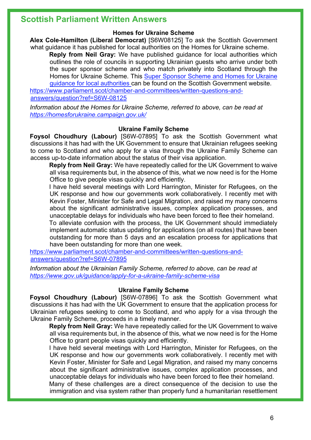## **Scottish Parliament Written Answers**

#### **Homes for Ukraine Scheme**

**Alex Cole-Hamilton (Liberal Democrat)** [S6W08125] To ask the Scottish Government what guidance it has published for local authorities on the Homes for Ukraine scheme.

**Reply from Neil Gray:** We have published guidance for local authorities which outlines the role of councils in supporting Ukrainian guests who arrive under both the super sponsor scheme and who match privately into Scotland through the Homes for Ukraine Scheme. This [Super Sponsor Scheme and Homes for Ukraine](https://www.gov.scot/publications/super-sponsor-scheme-and-homes-for-ukraine-guidance-for-local-authorities/pages/housing/)  [guidance for local authorities](https://www.gov.scot/publications/super-sponsor-scheme-and-homes-for-ukraine-guidance-for-local-authorities/pages/housing/) can be found on the Scottish Government website. [https://www.parliament.scot/chamber-and-committees/written-questions-and-](https://www.parliament.scot/chamber-and-committees/written-questions-and-answers/question?ref=S6W-08125)

[answers/question?ref=S6W-08125](https://www.parliament.scot/chamber-and-committees/written-questions-and-answers/question?ref=S6W-08125)

*Information about the Homes for Ukraine Scheme, referred to above, can be read at <https://homesforukraine.campaign.gov.uk/>*

#### **Ukraine Family Scheme**

**Foysol Choudhury (Labour)** [S6W-07895] To ask the Scottish Government what discussions it has had with the UK Government to ensure that Ukrainian refugees seeking to come to Scotland and who apply for a visa through the Ukraine Family Scheme can access up-to-date information about the status of their visa application.

**Reply from Neil Gray:** We have repeatedly called for the UK Government to waive all visa requirements but, in the absence of this, what we now need is for the Home Office to give people visas quickly and efficiently.

I have held several meetings with Lord Harrington, Minister for Refugees, on the UK response and how our governments work collaboratively. I recently met with Kevin Foster, Minister for Safe and Legal Migration, and raised my many concerns about the significant administrative issues, complex application processes, and unacceptable delays for individuals who have been forced to flee their homeland.

To alleviate confusion with the process, the UK Government should immediately implement automatic status updating for applications (on all routes) that have been outstanding for more than 5 days and an escalation process for applications that have been outstanding for more than one week.

[https://www.parliament.scot/chamber-and-committees/written-questions-and](https://www.parliament.scot/chamber-and-committees/written-questions-and-answers/question?ref=S6W-07895)[answers/question?ref=S6W-07895](https://www.parliament.scot/chamber-and-committees/written-questions-and-answers/question?ref=S6W-07895) 

*Information about the Ukrainian Family Scheme, referred to above, can be read at <https://www.gov.uk/guidance/apply-for-a-ukraine-family-scheme-visa>*

## **Ukraine Family Scheme**

**Foysol Choudhury (Labour)** [S6W-07896] To ask the Scottish Government what discussions it has had with the UK Government to ensure that the application process for Ukrainian refugees seeking to come to Scotland, and who apply for a visa through the Ukraine Family Scheme, proceeds in a timely manner.

**Reply from Neil Gray:** We have repeatedly called for the UK Government to waive all visa requirements but, in the absence of this, what we now need is for the Home Office to grant people visas quickly and efficiently.

I have held several meetings with Lord Harrington, Minister for Refugees, on the UK response and how our governments work collaboratively. I recently met with Kevin Foster, Minister for Safe and Legal Migration, and raised my many concerns about the significant administrative issues, complex application processes, and unacceptable delays for individuals who have been forced to flee their homeland. Many of these challenges are a direct consequence of the decision to use the immigration and visa system rather than properly fund a humanitarian resettlement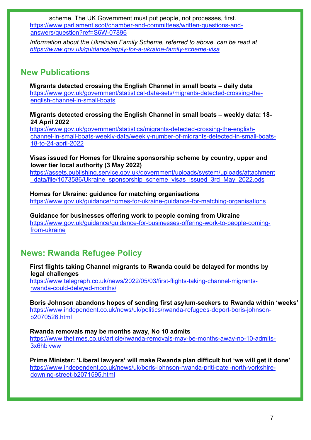scheme. The UK Government must put people, not processes, first. [https://www.parliament.scot/chamber-and-committees/written-questions-and](https://www.parliament.scot/chamber-and-committees/written-questions-and-answers/question?ref=S6W-07896)[answers/question?ref=S6W-07896](https://www.parliament.scot/chamber-and-committees/written-questions-and-answers/question?ref=S6W-07896)

*Information about the Ukrainian Family Scheme, referred to above, can be read at <https://www.gov.uk/guidance/apply-for-a-ukraine-family-scheme-visa>*

## **New Publications**

**Migrants detected crossing the English Channel in small boats – daily data** [https://www.gov.uk/government/statistical-data-sets/migrants-detected-crossing-the](https://www.gov.uk/government/statistical-data-sets/migrants-detected-crossing-the-english-channel-in-small-boats)[english-channel-in-small-boats](https://www.gov.uk/government/statistical-data-sets/migrants-detected-crossing-the-english-channel-in-small-boats)

**Migrants detected crossing the English Channel in small boats – weekly data: 18- 24 April 2022**

[https://www.gov.uk/government/statistics/migrants-detected-crossing-the-english](https://www.gov.uk/government/statistics/migrants-detected-crossing-the-english-channel-in-small-boats-weekly-data/weekly-number-of-migrants-detected-in-small-boats-18-to-24-april-2022)[channel-in-small-boats-weekly-data/weekly-number-of-migrants-detected-in-small-boats-](https://www.gov.uk/government/statistics/migrants-detected-crossing-the-english-channel-in-small-boats-weekly-data/weekly-number-of-migrants-detected-in-small-boats-18-to-24-april-2022)[18-to-24-april-2022](https://www.gov.uk/government/statistics/migrants-detected-crossing-the-english-channel-in-small-boats-weekly-data/weekly-number-of-migrants-detected-in-small-boats-18-to-24-april-2022)

#### **Visas issued for Homes for Ukraine sponsorship scheme by country, upper and lower tier local authority (3 May 2022)**

[https://assets.publishing.service.gov.uk/government/uploads/system/uploads/attachment](https://assets.publishing.service.gov.uk/government/uploads/system/uploads/attachment_data/file/1073586/Ukraine_sponsorship_scheme_visas_issued_3rd_May_2022.ods) data/file/1073586/Ukraine\_sponsorship\_scheme\_visas\_issued\_3rd\_May\_2022.ods

**Homes for Ukraine: guidance for matching organisations**

<https://www.gov.uk/guidance/homes-for-ukraine-guidance-for-matching-organisations>

**Guidance for businesses offering work to people coming from Ukraine** [https://www.gov.uk/guidance/guidance-for-businesses-offering-work-to-people-coming](https://www.gov.uk/guidance/guidance-for-businesses-offering-work-to-people-coming-from-ukraine)[from-ukraine](https://www.gov.uk/guidance/guidance-for-businesses-offering-work-to-people-coming-from-ukraine) 

# **News: Rwanda Refugee Policy**

**First flights taking Channel migrants to Rwanda could be delayed for months by legal challenges**

[https://www.telegraph.co.uk/news/2022/05/03/first-flights-taking-channel-migrants](https://www.telegraph.co.uk/news/2022/05/03/first-flights-taking-channel-migrants-rwanda-could-delayed-months/)[rwanda-could-delayed-months/](https://www.telegraph.co.uk/news/2022/05/03/first-flights-taking-channel-migrants-rwanda-could-delayed-months/)

**Boris Johnson abandons hopes of sending first asylum-seekers to Rwanda within 'weeks'** [https://www.independent.co.uk/news/uk/politics/rwanda-refugees-deport-boris-johnson](https://www.independent.co.uk/news/uk/politics/rwanda-refugees-deport-boris-johnson-b2070526.html)[b2070526.html](https://www.independent.co.uk/news/uk/politics/rwanda-refugees-deport-boris-johnson-b2070526.html)

## **Rwanda removals may be months away, No 10 admits**

[https://www.thetimes.co.uk/article/rwanda-removals-may-be-months-away-no-10-admits-](https://www.thetimes.co.uk/article/rwanda-removals-may-be-months-away-no-10-admits-3x6hblvww)[3x6hblvww](https://www.thetimes.co.uk/article/rwanda-removals-may-be-months-away-no-10-admits-3x6hblvww)

**Prime Minister: 'Liberal lawyers' will make Rwanda plan difficult but 'we will get it done'**  [https://www.independent.co.uk/news/uk/boris-johnson-rwanda-priti-patel-north-yorkshire](https://www.independent.co.uk/news/uk/boris-johnson-rwanda-priti-patel-north-yorkshire-downing-street-b2071595.html)[downing-street-b2071595.html](https://www.independent.co.uk/news/uk/boris-johnson-rwanda-priti-patel-north-yorkshire-downing-street-b2071595.html)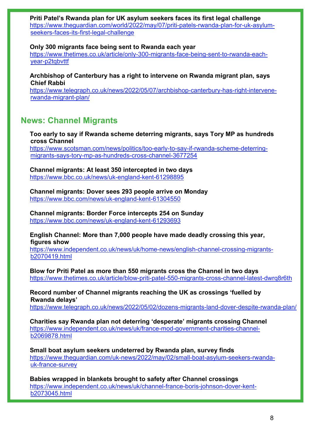**Priti Patel's Rwanda plan for UK asylum seekers faces its first legal challenge**  [https://www.theguardian.com/world/2022/may/07/priti-patels-rwanda-plan-for-uk-asylum](https://www.theguardian.com/world/2022/may/07/priti-patels-rwanda-plan-for-uk-asylum-seekers-faces-its-first-legal-challenge)[seekers-faces-its-first-legal-challenge](https://www.theguardian.com/world/2022/may/07/priti-patels-rwanda-plan-for-uk-asylum-seekers-faces-its-first-legal-challenge)

**Only 300 migrants face being sent to Rwanda each year** 

[https://www.thetimes.co.uk/article/only-300-migrants-face-being-sent-to-rwanda-each](https://www.thetimes.co.uk/article/only-300-migrants-face-being-sent-to-rwanda-each-year-p2tqbvttf)[year-p2tqbvttf](https://www.thetimes.co.uk/article/only-300-migrants-face-being-sent-to-rwanda-each-year-p2tqbvttf)

**Archbishop of Canterbury has a right to intervene on Rwanda migrant plan, says Chief Rabbi**

[https://www.telegraph.co.uk/news/2022/05/07/archbishop-canterbury-has-right-intervene](https://www.telegraph.co.uk/news/2022/05/07/archbishop-canterbury-has-right-intervene-rwanda-migrant-plan/)[rwanda-migrant-plan/](https://www.telegraph.co.uk/news/2022/05/07/archbishop-canterbury-has-right-intervene-rwanda-migrant-plan/)

## **News: Channel Migrants**

**Too early to say if Rwanda scheme deterring migrants, says Tory MP as hundreds cross Channel**

[https://www.scotsman.com/news/politics/too-early-to-say-if-rwanda-scheme-deterring](https://www.scotsman.com/news/politics/too-early-to-say-if-rwanda-scheme-deterring-migrants-says-tory-mp-as-hundreds-cross-channel-3677254)[migrants-says-tory-mp-as-hundreds-cross-channel-3677254](https://www.scotsman.com/news/politics/too-early-to-say-if-rwanda-scheme-deterring-migrants-says-tory-mp-as-hundreds-cross-channel-3677254)

**Channel migrants: At least 350 intercepted in two days** <https://www.bbc.co.uk/news/uk-england-kent-61298895>

**Channel migrants: Dover sees 293 people arrive on Monday** <https://www.bbc.com/news/uk-england-kent-61304550>

**Channel migrants: Border Force intercepts 254 on Sunday** <https://www.bbc.com/news/uk-england-kent-61293693>

#### **English Channel: More than 7,000 people have made deadly crossing this year, figures show**

[https://www.independent.co.uk/news/uk/home-news/english-channel-crossing-migrants](https://www.independent.co.uk/news/uk/home-news/english-channel-crossing-migrants-b2070419.html)[b2070419.html](https://www.independent.co.uk/news/uk/home-news/english-channel-crossing-migrants-b2070419.html)

**Blow for Priti Patel as more than 550 migrants cross the Channel in two days**  <https://www.thetimes.co.uk/article/blow-priti-patel-550-migrants-cross-channel-latest-dwrq8r6th>

**Record number of Channel migrants reaching the UK as crossings 'fuelled by Rwanda delays'**

<https://www.telegraph.co.uk/news/2022/05/02/dozens-migrants-land-dover-despite-rwanda-plan/>

**Charities say Rwanda plan not deterring 'desperate' migrants crossing Channel**  [https://www.independent.co.uk/news/uk/france-mod-government-charities-channel](https://www.independent.co.uk/news/uk/france-mod-government-charities-channel-b2069878.html)[b2069878.html](https://www.independent.co.uk/news/uk/france-mod-government-charities-channel-b2069878.html)

**Small boat asylum seekers undeterred by Rwanda plan, survey finds**  [https://www.theguardian.com/uk-news/2022/may/02/small-boat-asylum-seekers-rwanda](https://www.theguardian.com/uk-news/2022/may/02/small-boat-asylum-seekers-rwanda-uk-france-survey)[uk-france-survey](https://www.theguardian.com/uk-news/2022/may/02/small-boat-asylum-seekers-rwanda-uk-france-survey)

**Babies wrapped in blankets brought to safety after Channel crossings**  [https://www.independent.co.uk/news/uk/channel-france-boris-johnson-dover-kent](https://www.independent.co.uk/news/uk/channel-france-boris-johnson-dover-kent-b2073045.html)[b2073045.html](https://www.independent.co.uk/news/uk/channel-france-boris-johnson-dover-kent-b2073045.html)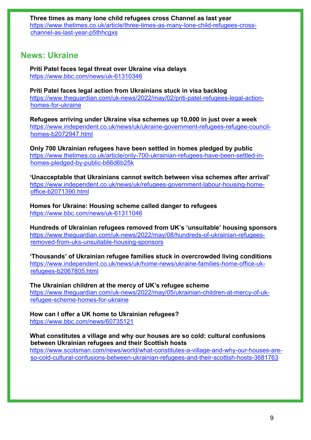**Three times as many lone child refugees cross Channel as last year**  [https://www.thetimes.co.uk/article/three-times-as-many-lone-child-refugees-cross](https://www.thetimes.co.uk/article/three-times-as-many-lone-child-refugees-cross-channel-as-last-year-p5thhcgxs)[channel-as-last-year-p5thhcgxs](https://www.thetimes.co.uk/article/three-times-as-many-lone-child-refugees-cross-channel-as-last-year-p5thhcgxs)

## **News: Ukraine**

**Priti Patel faces legal threat over Ukraine visa delays** <https://www.bbc.com/news/uk-61310346>

**Priti Patel faces legal action from Ukrainians stuck in visa backlog**  [https://www.theguardian.com/uk-news/2022/may/02/priti-patel-refugees-legal-action](https://www.theguardian.com/uk-news/2022/may/02/priti-patel-refugees-legal-action-homes-for-ukraine)[homes-for-ukraine](https://www.theguardian.com/uk-news/2022/may/02/priti-patel-refugees-legal-action-homes-for-ukraine)

**Refugees arriving under Ukraine visa schemes up 10,000 in just over a week**  [https://www.independent.co.uk/news/uk/ukraine-government-refugees-refugee-council](https://www.independent.co.uk/news/uk/ukraine-government-refugees-refugee-council-homes-b2072947.html)[homes-b2072947.html](https://www.independent.co.uk/news/uk/ukraine-government-refugees-refugee-council-homes-b2072947.html)

**Only 700 Ukrainian refugees have been settled in homes pledged by public**  [https://www.thetimes.co.uk/article/only-700-ukrainian-refugees-have-been-settled-in](https://www.thetimes.co.uk/article/only-700-ukrainian-refugees-have-been-settled-in-homes-pledged-by-public-b66d6b25k)[homes-pledged-by-public-b66d6b25k](https://www.thetimes.co.uk/article/only-700-ukrainian-refugees-have-been-settled-in-homes-pledged-by-public-b66d6b25k)

**'Unacceptable that Ukrainians cannot switch between visa schemes after arrival'**  [https://www.independent.co.uk/news/uk/refugees-government-labour-housing-home](https://www.independent.co.uk/news/uk/refugees-government-labour-housing-home-office-b2071390.html)[office-b2071390.html](https://www.independent.co.uk/news/uk/refugees-government-labour-housing-home-office-b2071390.html)

**Homes for Ukraine: Housing scheme called danger to refugees** <https://www.bbc.com/news/uk-61311046>

**Hundreds of Ukrainian refugees removed from UK's 'unsuitable' housing sponsors**  [https://www.theguardian.com/uk-news/2022/may/08/hundreds-of-ukrainian-refugees](https://www.theguardian.com/uk-news/2022/may/08/hundreds-of-ukrainian-refugees-removed-from-uks-unsuitable-housing-sponsors)[removed-from-uks-unsuitable-housing-sponsors](https://www.theguardian.com/uk-news/2022/may/08/hundreds-of-ukrainian-refugees-removed-from-uks-unsuitable-housing-sponsors)

**'Thousands' of Ukrainian refugee families stuck in overcrowded living conditions**  [https://www.independent.co.uk/news/uk/home-news/ukraine-families-home-office-uk](https://www.independent.co.uk/news/uk/home-news/ukraine-families-home-office-uk-refugees-b2067805.html)[refugees-b2067805.html](https://www.independent.co.uk/news/uk/home-news/ukraine-families-home-office-uk-refugees-b2067805.html) 

**The Ukrainian children at the mercy of UK's refugee scheme**  [https://www.theguardian.com/uk-news/2022/may/05/ukrainian-children-at-mercy-of-uk](https://www.theguardian.com/uk-news/2022/may/05/ukrainian-children-at-mercy-of-uk-refugee-scheme-homes-for-ukraine)[refugee-scheme-homes-for-ukraine](https://www.theguardian.com/uk-news/2022/may/05/ukrainian-children-at-mercy-of-uk-refugee-scheme-homes-for-ukraine)

**How can I offer a UK home to Ukrainian refugees?** <https://www.bbc.com/news/60735121>

## **What constitutes a village and why our houses are so cold: cultural confusions between Ukrainian refugees and their Scottish hosts**

[https://www.scotsman.com/news/world/what-constitutes-a-village-and-why-our-houses-are](https://www.scotsman.com/news/world/what-constitutes-a-village-and-why-our-houses-are-so-cold-cultural-confusions-between-ukrainian-refugees-and-their-scottish-hosts-3681763)[so-cold-cultural-confusions-between-ukrainian-refugees-and-their-scottish-hosts-3681763](https://www.scotsman.com/news/world/what-constitutes-a-village-and-why-our-houses-are-so-cold-cultural-confusions-between-ukrainian-refugees-and-their-scottish-hosts-3681763)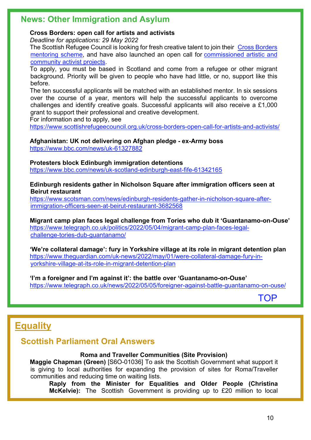## **News: Other Immigration and Asylum**

## **Cross Borders: open call for artists and activists**

*Deadline for applications: 29 May 2022*

The Scottish Refugee Council is looking for fresh creative talent to join their Cross Borders [mentoring scheme,](https://www.scottishrefugeecouncil.org.uk/crossborders-mentoring/) and have also launched an open call for [commissioned artistic and](https://www.scottishrefugeecouncil.org.uk/cross-borders-commisioning/)  [community activist projects.](https://www.scottishrefugeecouncil.org.uk/cross-borders-commisioning/)

To apply, you must be based in Scotland and come from a refugee or other migrant background. Priority will be given to people who have had little, or no, support like this before.

The ten successful applicants will be matched with an established mentor. In six sessions over the course of a year, mentors will help the successful applicants to overcome challenges and identify creative goals. Successful applicants will also receive a £1,000 grant to support their professional and creative development.

For information and to apply, see

<https://www.scottishrefugeecouncil.org.uk/cross-borders-open-call-for-artists-and-activists/>

#### **Afghanistan: UK not delivering on Afghan pledge - ex-Army boss** <https://www.bbc.com/news/uk-61327882>

**Protesters block Edinburgh immigration detentions**

<https://www.bbc.com/news/uk-scotland-edinburgh-east-fife-61342165>

**Edinburgh residents gather in Nicholson Square after immigration officers seen at Beirut restaurant**

[https://www.scotsman.com/news/edinburgh-residents-gather-in-nicholson-square-after](https://www.scotsman.com/news/edinburgh-residents-gather-in-nicholson-square-after-immigration-officers-seen-at-beirut-restaurant-3682568)[immigration-officers-seen-at-beirut-restaurant-3682568](https://www.scotsman.com/news/edinburgh-residents-gather-in-nicholson-square-after-immigration-officers-seen-at-beirut-restaurant-3682568)

**Migrant camp plan faces legal challenge from Tories who dub it 'Guantanamo-on-Ouse'** [https://www.telegraph.co.uk/politics/2022/05/04/migrant-camp-plan-faces-legal](https://www.telegraph.co.uk/politics/2022/05/04/migrant-camp-plan-faces-legal-challenge-tories-dub-guantanamo/)[challenge-tories-dub-guantanamo/](https://www.telegraph.co.uk/politics/2022/05/04/migrant-camp-plan-faces-legal-challenge-tories-dub-guantanamo/)

**'We're collateral damage': fury in Yorkshire village at its role in migrant detention plan**  [https://www.theguardian.com/uk-news/2022/may/01/were-collateral-damage-fury-in](https://www.theguardian.com/uk-news/2022/may/01/were-collateral-damage-fury-in-yorkshire-village-at-its-role-in-migrant-detention-plan)[yorkshire-village-at-its-role-in-migrant-detention-plan](https://www.theguardian.com/uk-news/2022/may/01/were-collateral-damage-fury-in-yorkshire-village-at-its-role-in-migrant-detention-plan)

**'I'm a foreigner and I'm against it': the battle over 'Guantanamo-on-Ouse'** <https://www.telegraph.co.uk/news/2022/05/05/foreigner-against-battle-guantanamo-on-ouse/>

[TOP](#page-0-1)

# <span id="page-9-0"></span>**Equality**

## **Scottish Parliament Oral Answers**

## **Roma and Traveller Communities (Site Provision)**

**Maggie Chapman (Green)** [S6O-01036] To ask the Scottish Government what support it is giving to local authorities for expanding the provision of sites for Roma/Traveller communities and reducing time on waiting lists.

**Raply from the Minister for Equalities and Older People (Christina McKelvie):** The Scottish Government is providing up to £20 million to local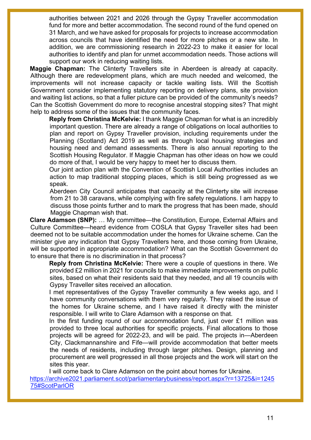authorities between 2021 and 2026 through the Gypsy Traveller accommodation fund for more and better accommodation. The second round of the fund opened on 31 March, and we have asked for proposals for projects to increase accommodation across councils that have identified the need for more pitches or a new site. In addition, we are commissioning research in 2022-23 to make it easier for local authorities to identify and plan for unmet accommodation needs. Those actions will support our work in reducing waiting lists.

**Maggie Chapman:** The Clinterty Travellers site in Aberdeen is already at capacity. Although there are redevelopment plans, which are much needed and welcomed, the improvements will not increase capacity or tackle waiting lists. Will the Scottish Government consider implementing statutory reporting on delivery plans, site provision and waiting list actions, so that a fuller picture can be provided of the community's needs? Can the Scottish Government do more to recognise ancestral stopping sites? That might help to address some of the issues that the community faces.

**Reply from Christina McKelvie:** I thank Maggie Chapman for what is an incredibly important question. There are already a range of obligations on local authorities to plan and report on Gypsy Traveller provision, including requirements under the Planning (Scotland) Act 2019 as well as through local housing strategies and housing need and demand assessments. There is also annual reporting to the Scottish Housing Regulator. If Maggie Chapman has other ideas on how we could do more of that, I would be very happy to meet her to discuss them.

Our joint action plan with the Convention of Scottish Local Authorities includes an action to map traditional stopping places, which is still being progressed as we speak.

Aberdeen City Council anticipates that capacity at the Clinterty site will increase from 21 to 38 caravans, while complying with fire safety regulations. I am happy to discuss those points further and to mark the progress that has been made, should Maggie Chapman wish that.

**Clare Adamson (SNP):** … My committee—the Constitution, Europe, External Affairs and Culture Committee—heard evidence from COSLA that Gypsy Traveller sites had been deemed not to be suitable accommodation under the homes for Ukraine scheme. Can the minister give any indication that Gypsy Travellers here, and those coming from Ukraine, will be supported in appropriate accommodation? What can the Scottish Government do to ensure that there is no discrimination in that process?

**Reply from Christina McKelvie:** There were a couple of questions in there. We provided £2 million in 2021 for councils to make immediate improvements on public sites, based on what their residents said that they needed, and all 19 councils with Gypsy Traveller sites received an allocation.

I met representatives of the Gypsy Traveller community a few weeks ago, and I have community conversations with them very regularly. They raised the issue of the homes for Ukraine scheme, and I have raised it directly with the minister responsible. I will write to Clare Adamson with a response on that.

In the first funding round of our accommodation fund, just over £1 million was provided to three local authorities for specific projects. Final allocations to those projects will be agreed for 2022-23, and will be paid. The projects in—Aberdeen City, Clackmannanshire and Fife—will provide accommodation that better meets the needs of residents, including through larger pitches. Design, planning and procurement are well progressed in all those projects and the work will start on the sites this year.

I will come back to Clare Adamson on the point about homes for Ukraine. [https://archive2021.parliament.scot/parliamentarybusiness/report.aspx?r=13725&i=1245](https://archive2021.parliament.scot/parliamentarybusiness/report.aspx?r=13725&i=124575#ScotParlOR) [75#ScotParlOR](https://archive2021.parliament.scot/parliamentarybusiness/report.aspx?r=13725&i=124575#ScotParlOR)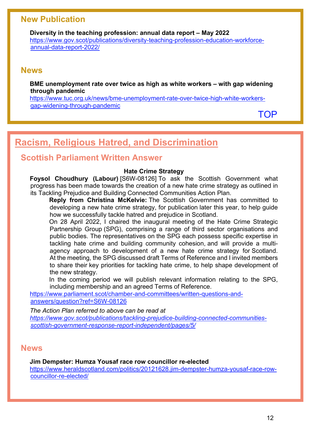## **New Publication**

**Diversity in the teaching profession: annual data report – May 2022** [https://www.gov.scot/publications/diversity-teaching-profession-education-workforce](https://www.gov.scot/publications/diversity-teaching-profession-education-workforce-annual-data-report-2022/)[annual-data-report-2022/](https://www.gov.scot/publications/diversity-teaching-profession-education-workforce-annual-data-report-2022/)

## **News**

**BME unemployment rate over twice as high as white workers – with gap widening through pandemic**

[https://www.tuc.org.uk/news/bme-unemployment-rate-over-twice-high-white-workers](https://www.tuc.org.uk/news/bme-unemployment-rate-over-twice-high-white-workers-gap-widening-through-pandemic)[gap-widening-through-pandemic](https://www.tuc.org.uk/news/bme-unemployment-rate-over-twice-high-white-workers-gap-widening-through-pandemic)

[TOP](#page-0-1)

# <span id="page-11-0"></span>**Racism, Religious Hatred, and Discrimination**

## **Scottish Parliament Written Answer**

#### **Hate Crime Strategy**

**Foysol Choudhury (Labour)** [S6W-08126] To ask the Scottish Government what progress has been made towards the creation of a new hate crime strategy as outlined in its Tackling Prejudice and Building Connected Communities Action Plan.

**Reply from Christina McKelvie:** The Scottish Government has committed to developing a new hate crime strategy, for publication later this year, to help guide how we successfully tackle hatred and prejudice in Scotland.

On 28 April 2022, I chaired the inaugural meeting of the Hate Crime Strategic Partnership Group (SPG), comprising a range of third sector organisations and public bodies. The representatives on the SPG each possess specific expertise in tackling hate crime and building community cohesion, and will provide a multiagency approach to development of a new hate crime strategy for Scotland. At the meeting, the SPG discussed draft Terms of Reference and I invited members to share their key priorities for tackling hate crime, to help shape development of the new strategy.

In the coming period we will publish relevant information relating to the SPG, including membership and an agreed Terms of Reference.

[https://www.parliament.scot/chamber-and-committees/written-questions-and](https://www.parliament.scot/chamber-and-committees/written-questions-and-answers/question?ref=S6W-08126)[answers/question?ref=S6W-08126](https://www.parliament.scot/chamber-and-committees/written-questions-and-answers/question?ref=S6W-08126)

*The Action Plan referred to above can be read at [https://www.gov.scot/publications/tackling-prejudice-building-connected-communities](https://www.gov.scot/publications/tackling-prejudice-building-connected-communities-scottish-government-response-report-independent/pages/5/)[scottish-government-response-report-independent/pages/5/](https://www.gov.scot/publications/tackling-prejudice-building-connected-communities-scottish-government-response-report-independent/pages/5/)*

## **News**

#### **Jim Dempster: Humza Yousaf race row councillor re-elected**

[https://www.heraldscotland.com/politics/20121628.jim-dempster-humza-yousaf-race-row](https://www.heraldscotland.com/politics/20121628.jim-dempster-humza-yousaf-race-row-councillor-re-elected/)[councillor-re-elected/](https://www.heraldscotland.com/politics/20121628.jim-dempster-humza-yousaf-race-row-councillor-re-elected/)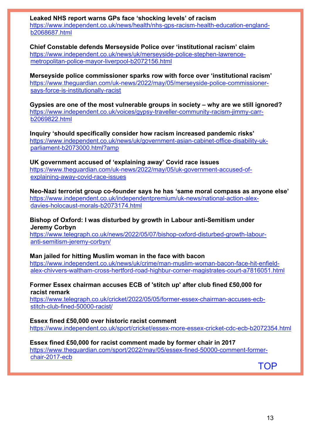**Leaked NHS report warns GPs face 'shocking levels' of racism**  [https://www.independent.co.uk/news/health/nhs-gps-racism-health-education-england](https://www.independent.co.uk/news/health/nhs-gps-racism-health-education-england-b2068687.html)[b2068687.html](https://www.independent.co.uk/news/health/nhs-gps-racism-health-education-england-b2068687.html)

**Chief Constable defends Merseyside Police over 'institutional racism' claim**  [https://www.independent.co.uk/news/uk/merseyside-police-stephen-lawrence](https://www.independent.co.uk/news/uk/merseyside-police-stephen-lawrence-metropolitan-police-mayor-liverpool-b2072156.html)[metropolitan-police-mayor-liverpool-b2072156.html](https://www.independent.co.uk/news/uk/merseyside-police-stephen-lawrence-metropolitan-police-mayor-liverpool-b2072156.html)

**Merseyside police commissioner sparks row with force over 'institutional racism'**  [https://www.theguardian.com/uk-news/2022/may/05/merseyside-police-commissioner](https://www.theguardian.com/uk-news/2022/may/05/merseyside-police-commissioner-says-force-is-institutionally-racist)[says-force-is-institutionally-racist](https://www.theguardian.com/uk-news/2022/may/05/merseyside-police-commissioner-says-force-is-institutionally-racist)

**Gypsies are one of the most vulnerable groups in society – why are we still ignored?**  [https://www.independent.co.uk/voices/gypsy-traveller-community-racism-jimmy-carr](https://www.independent.co.uk/voices/gypsy-traveller-community-racism-jimmy-carr-b2069822.html)[b2069822.html](https://www.independent.co.uk/voices/gypsy-traveller-community-racism-jimmy-carr-b2069822.html)

**Inquiry 'should specifically consider how racism increased pandemic risks'**  [https://www.independent.co.uk/news/uk/government-asian-cabinet-office-disability-uk](https://www.independent.co.uk/news/uk/government-asian-cabinet-office-disability-uk-parliament-b2073000.html?amp)[parliament-b2073000.html?amp](https://www.independent.co.uk/news/uk/government-asian-cabinet-office-disability-uk-parliament-b2073000.html?amp)

**UK government accused of 'explaining away' Covid race issues**  [https://www.theguardian.com/uk-news/2022/may/05/uk-government-accused-of](https://www.theguardian.com/uk-news/2022/may/05/uk-government-accused-of-explaining-away-covid-race-issues)[explaining-away-covid-race-issues](https://www.theguardian.com/uk-news/2022/may/05/uk-government-accused-of-explaining-away-covid-race-issues)

**Neo-Nazi terrorist group co-founder says he has 'same moral compass as anyone else'**  [https://www.independent.co.uk/independentpremium/uk-news/national-action-alex](https://www.independent.co.uk/independentpremium/uk-news/national-action-alex-davies-holocaust-morals-b2073174.html)[davies-holocaust-morals-b2073174.html](https://www.independent.co.uk/independentpremium/uk-news/national-action-alex-davies-holocaust-morals-b2073174.html)

## **Bishop of Oxford: I was disturbed by growth in Labour anti-Semitism under Jeremy Corbyn**

[https://www.telegraph.co.uk/news/2022/05/07/bishop-oxford-disturbed-growth-labour](https://www.telegraph.co.uk/news/2022/05/07/bishop-oxford-disturbed-growth-labour-anti-semitism-jeremy-corbyn/)[anti-semitism-jeremy-corbyn/](https://www.telegraph.co.uk/news/2022/05/07/bishop-oxford-disturbed-growth-labour-anti-semitism-jeremy-corbyn/)

## **Man jailed for hitting Muslim woman in the face with bacon**

[https://www.independent.co.uk/news/uk/crime/man-muslim-woman-bacon-face-hit-enfield](https://www.independent.co.uk/news/uk/crime/man-muslim-woman-bacon-face-hit-enfield-alex-chivvers-waltham-cross-hertford-road-highbur-corner-magistrates-court-a7816051.html)[alex-chivvers-waltham-cross-hertford-road-highbur-corner-magistrates-court-a7816051.html](https://www.independent.co.uk/news/uk/crime/man-muslim-woman-bacon-face-hit-enfield-alex-chivvers-waltham-cross-hertford-road-highbur-corner-magistrates-court-a7816051.html)

## **Former Essex chairman accuses ECB of 'stitch up' after club fined £50,000 for racist remark**

[https://www.telegraph.co.uk/cricket/2022/05/05/former-essex-chairman-accuses-ecb](https://www.telegraph.co.uk/cricket/2022/05/05/former-essex-chairman-accuses-ecb-stitch-club-fined-50000-racist/)[stitch-club-fined-50000-racist/](https://www.telegraph.co.uk/cricket/2022/05/05/former-essex-chairman-accuses-ecb-stitch-club-fined-50000-racist/)

## **Essex fined £50,000 over historic racist comment**

<https://www.independent.co.uk/sport/cricket/essex-more-essex-cricket-cdc-ecb-b2072354.html>

## **Essex fined £50,000 for racist comment made by former chair in 2017**

[https://www.theguardian.com/sport/2022/may/05/essex-fined-50000-comment-former](https://www.theguardian.com/sport/2022/may/05/essex-fined-50000-comment-former-chair-2017-ecb)[chair-2017-ecb](https://www.theguardian.com/sport/2022/may/05/essex-fined-50000-comment-former-chair-2017-ecb)

[TOP](#page-0-1)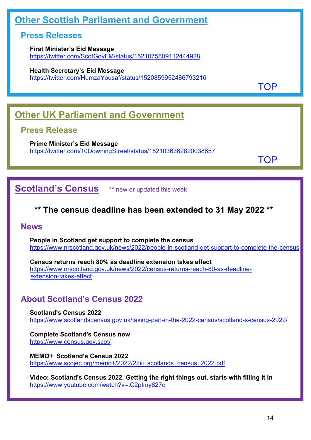# <span id="page-13-0"></span>**Other Scottish Parliament and Government**

## **Press Releases**

**First Minister's Eid Message** <https://twitter.com/ScotGovFM/status/1521075809112444928>

**Health Secretary's Eid Message**

<https://twitter.com/HumzaYousaf/status/1520859952486793216>

[TOP](#page-0-1)

# <span id="page-13-1"></span>**Other UK Parliament and Government**

## **Press Release**

**Prime Minister's Eid Message** <https://twitter.com/10DowningStreet/status/1521036362820038657>

[TOP](#page-0-1)

<span id="page-13-2"></span>**Scotland's Census** \*\* new or updated this week

# **\*\* The census deadline has been extended to 31 May 2022 \*\***

## **News**

**People in Scotland get support to complete the census** <https://www.nrscotland.gov.uk/news/2022/people-in-scotland-get-support-to-complete-the-census>

**Census returns reach 80% as deadline extension takes effect** [https://www.nrscotland.gov.uk/news/2022/census-returns-reach-80-as-deadline](https://www.nrscotland.gov.uk/news/2022/census-returns-reach-80-as-deadline-extension-takes-effect)[extension-takes-effect](https://www.nrscotland.gov.uk/news/2022/census-returns-reach-80-as-deadline-extension-takes-effect)

# **About Scotland's Census 2022**

**Scotland's Census 2022** <https://www.scotlandscensus.gov.uk/taking-part-in-the-2022-census/scotland-s-census-2022/>

**Complete Scotland's Census now** <https://www.census.gov.scot/>

**MEMO+ Scotland's Census 2022** https://www.scojec.org/memo+/2022/22iii\_scotlands\_census\_2022.pdf

**Video: Scotland's Census 2022. Getting the right things out, starts with filling it in** <https://www.youtube.com/watch?v=tC2pImy827c>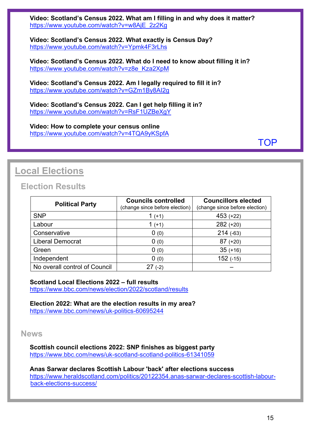**Video: Scotland's Census 2022. What am I filling in and why does it matter?** [https://www.youtube.com/watch?v=w8AjE\\_2z2Kg](https://www.youtube.com/watch?v=w8AjE_2z2Kg) 

**Video: Scotland's Census 2022. What exactly is Census Day?** <https://www.youtube.com/watch?v=Ypmk4F3rLhs>

**Video: Scotland's Census 2022. What do I need to know about filling it in?** [https://www.youtube.com/watch?v=z8e\\_Kza2XpM](https://www.youtube.com/watch?v=z8e_Kza2XpM)

**Video: Scotland's Census 2022. Am I legally required to fill it in?** <https://www.youtube.com/watch?v=GZm1By8AI2g>

**Video: Scotland's Census 2022. Can I get help filling it in?** <https://www.youtube.com/watch?v=RsF1UZBeXgY>

**Video: How to complete your census online** <https://www.youtube.com/watch?v=4TQA9yKSpfA>

[TOP](#page-0-1)

# <span id="page-14-0"></span>**Local Elections**

## **Election Results**

| <b>Political Party</b>        | <b>Councils controlled</b><br>(change since before election) | <b>Councillors elected</b><br>(change since before election) |
|-------------------------------|--------------------------------------------------------------|--------------------------------------------------------------|
| <b>SNP</b>                    | 1 $(+1)$                                                     | $453 (+22)$                                                  |
| Labour                        | 1 $(+1)$                                                     | $282 (+20)$                                                  |
| Conservative                  | 0(0)                                                         | 214(.63)                                                     |
| <b>Liberal Democrat</b>       | 0(0)                                                         | $87 (+20)$                                                   |
| Green                         | 0(0)                                                         | $35 (+16)$                                                   |
| Independent                   | 0(0)                                                         | 152(.15)                                                     |
| No overall control of Council | $(-2)$                                                       |                                                              |

**Scotland Local Elections 2022 – full results**

<https://www.bbc.com/news/election/2022/scotland/results>

**Election 2022: What are the election results in my area?** <https://www.bbc.com/news/uk-politics-60695244>

## **News**

**Scottish council elections 2022: SNP finishes as biggest party** <https://www.bbc.com/news/uk-scotland-scotland-politics-61341059>

**Anas Sarwar declares Scottish Labour 'back' after elections success** [https://www.heraldscotland.com/politics/20122354.anas-sarwar-declares-scottish-labour](https://www.heraldscotland.com/politics/20122354.anas-sarwar-declares-scottish-labour-back-elections-success/)[back-elections-success/](https://www.heraldscotland.com/politics/20122354.anas-sarwar-declares-scottish-labour-back-elections-success/)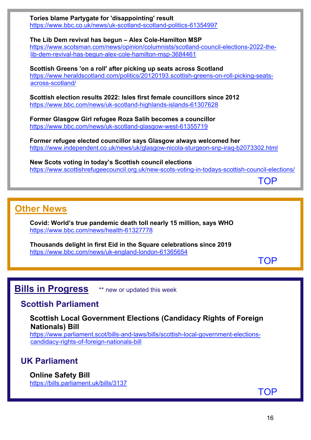

# <span id="page-15-1"></span>**Other News**

**Covid: World's true pandemic death toll nearly 15 million, says WHO** <https://www.bbc.com/news/health-61327778>

**Thousands delight in first Eid in the Square celebrations since 2019** <https://www.bbc.com/news/uk-england-london-61365654>

**[TOP](#page-0-1)** 

# <span id="page-15-0"></span>**Bills in Progress** \*\* new or updated this week

## **Scottish Parliament**

**Scottish Local Government Elections (Candidacy Rights of Foreign Nationals) Bill**

[https://www.parliament.scot/bills-and-laws/bills/scottish-local-government-elections](https://www.parliament.scot/bills-and-laws/bills/scottish-local-government-elections-candidacy-rights-of-foreign-nationals-bill)[candidacy-rights-of-foreign-nationals-bill](https://www.parliament.scot/bills-and-laws/bills/scottish-local-government-elections-candidacy-rights-of-foreign-nationals-bill) 

## **UK Parliament**

**Online Safety Bill**  <https://bills.parliament.uk/bills/3137>

[TOP](#page-0-1)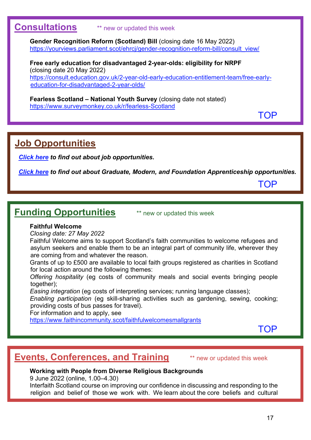## <span id="page-16-0"></span>**Consultations** \*\* new or updated this week

**Gender Recognition Reform (Scotland) Bill** (closing date 16 May 2022) [https://yourviews.parliament.scot/ehrcj/gender-recognition-reform-bill/consult\\_view/](https://yourviews.parliament.scot/ehrcj/gender-recognition-reform-bill/consult_view/) 

**Free early education for disadvantaged 2-year-olds: eligibility for NRPF**  (closing date 20 May 2022) [https://consult.education.gov.uk/2-year-old-early-education-entitlement-team/free-early](https://consult.education.gov.uk/2-year-old-early-education-entitlement-team/free-early-education-for-disadvantaged-2-year-olds/)[education-for-disadvantaged-2-year-olds/](https://consult.education.gov.uk/2-year-old-early-education-entitlement-team/free-early-education-for-disadvantaged-2-year-olds/)

**Fearless Scotland – National Youth Survey** (closing date not stated) <https://www.surveymonkey.co.uk/r/fearless-Scotland>

[TOP](#page-0-1)

# <span id="page-16-1"></span>**Job Opportunities**

*[Click here](https://www.scojec.org/memo/jobs.html) to find out about job opportunities.*

*[Click here](https://bemis.org.uk/projects/scottish-apprenticeship-vacancies/) to find out about Graduate, Modern, and Foundation Apprenticeship opportunities.*

[TOP](#page-0-1)

# <span id="page-16-2"></span>**Funding Opportunities** \*\* new or updated this week

## **Faithful Welcome**

*Closing date: 27 May 2022*

Faithful Welcome aims to support Scotland's faith communities to welcome refugees and asylum seekers and enable them to be an integral part of community life, wherever they are coming from and whatever the reason.

Grants of up to £500 are available to local faith groups registered as charities in Scotland for local action around the following themes:

*Offering hospitality* (eg costs of community meals and social events bringing people together);

*Easing integration* (eg costs of interpreting services; running language classes);

*Enabling participation* (eg skill-sharing activities such as gardening, sewing, cooking; providing costs of bus passes for travel).

For information and to apply, see

<https://www.faithincommunity.scot/faithfulwelcomesmallgrants>

[TOP](#page-0-1)

# <span id="page-16-3"></span>**Events, Conferences, and Training** \*\* new or updated this week

## **Working with People from Diverse Religious Backgrounds**

9 June 2022 (online, 1.00–4.30)

Interfaith Scotland course on improving our confidence in discussing and responding to the religion and belief of those we work with. We learn about the core beliefs and cultural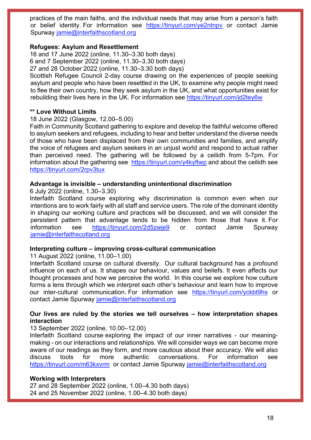practices of the main faiths, and the individual needs that may arise from a person's faith or belief identity. For information see https://tinyurl.com/ye2ntnpy or contact Jamie Spurway [jamie@interfaithscotland.org](mailto:jamie@interfaithscotland.org)

#### **Refugees: Asylum and Resettlement**

16 and 17 June 2022 (online, 11.30–3.30 both days) 6 and 7 September 2022 (online, 11.30–3.30 both days)

27 and 28 October 2022 (online, 11.30–3.30 both days)

Scottish Refugee Council 2-day course drawing on the experiences of people seeking asylum and people who have been resettled in the UK, to examine why people might need to flee their own country, how they seek asylum in the UK, and what opportunities exist for rebuilding their lives here in the UK. For information see<https://tinyurl.com/jd2tey6w>

#### **\*\* Love Without Limits**

18 June 2022 (Glasgow, 12.00–5.00)

Faith in Community Scotland gathering to explore and develop the faithful welcome offered to asylum seekers and refugees, including to hear and better understand the diverse needs of those who have been displaced from their own communities and families, and amplify the voice of refugees and asylum seekers in an unjust world and respond to actual rather than perceived need. The gathering will be followed by a ceilidh from 5-7pm. For information about the gathering see <https://tinyurl.com/y4kyftwp> and about the ceilidh see <https://tinyurl.com/2rpv3tux>

#### **Advantage is invisible – understanding unintentional discrimination**

6 July 2022 (online, 1.30–3.30)

Interfaith Scotland course exploring why discrimination is common even when our intentions are to work fairly with all staff and service users. The role of the dominant identity in shaping our working culture and practices will be discussed, and we will consider the persistent pattern that advantage tends to be hidden from those that have it. For information see <https://tinyurl.com/2d5zwje9> or contact Jamie Spurway [jamie@interfaithscotland.org](mailto:jamie@interfaithscotland.org)

## **Interpreting culture – improving cross-cultural communication**

11 August 2022 (online, 11.00–1.00)

Interfaith Scotland course on cultural diversity. Our cultural background has a profound influence on each of us. It shapes our behaviour, values and beliefs. It even affects our thought processes and how we perceive the world. In this course we explore how culture forms a lens through which we interpret each other's behaviour and learn how to improve our inter-cultural communication. For information see <https://tinyurl.com/yckbt9hs> or contact Jamie Spurway [jamie@interfaithscotland.org](mailto:jamie@interfaithscotland.org)

## **Our lives are ruled by the stories we tell ourselves – how interpretation shapes interaction**

13 September 2022 (online, 10.00–12.00)

Interfaith Scotland course exploring the impact of our inner narratives - our meaningmaking - on our interactions and relationships. We will consider ways we can become more aware of our readings as they form, and more cautious about their accuracy. We will also discuss tools for more authentic conversations. For information see <https://tinyurl.com/m63kxvrm>or contact Jamie Spurway [jamie@interfaithscotland.org](mailto:jamie@interfaithscotland.org)

#### **Working with Interpreters**

27 and 28 September 2022 (online, 1.00–4.30 both days) 24 and 25 November 2022 (online, 1.00–4.30 both days)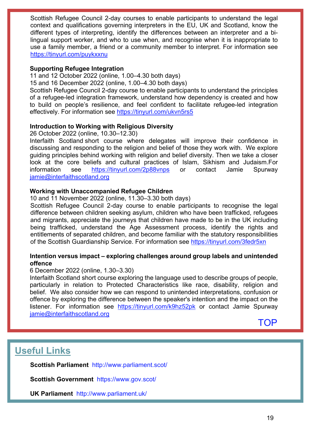Scottish Refugee Council 2-day courses to enable participants to understand the legal context and qualifications governing interpreters in the EU, UK and Scotland, know the different types of interpreting, identify the differences between an interpreter and a bilingual support worker, and who to use when, and recognise when it is inappropriate to use a family member, a friend or a community member to interpret. For information see <https://tinyurl.com/puykxxnu>

## **Supporting Refugee Integration**

11 and 12 October 2022 (online, 1.00–4.30 both days)

15 and 16 December 2022 (online, 1.00–4.30 both days)

Scottish Refugee Council 2-day course to enable participants to understand the principles of a refugee-led integration framework, understand how dependency is created and how to build on people's resilience, and feel confident to facilitate refugee-led integration effectively. For information see<https://tinyurl.com/ukvn5rs5>

## **Introduction to Working with Religious Diversity**

26 October 2022 (online, 10.30–12.30)

Interfaith Scotland short course where delegates will improve their confidence in discussing and responding to the religion and belief of those they work with. We explore guiding principles behind working with religion and belief diversity. Then we take a closer look at the core beliefs and cultural practices of Islam, Sikhism and Judaism.For information see <https://tinyurl.com/2p88vnps> or contact Jamie Spurway [jamie@interfaithscotland.org](mailto:jamie@interfaithscotland.org)

## **Working with Unaccompanied Refugee Children**

10 and 11 November 2022 (online, 11.30–3.30 both days)

Scottish Refugee Council 2-day course to enable participants to recognise the legal difference between children seeking asylum, children who have been trafficked, refugees and migrants, appreciate the journeys that children have made to be in the UK including being trafficked, understand the Age Assessment process, identify the rights and entitlements of separated children, and become familiar with the statutory responsibilities of the Scottish Guardianship Service. For information see<https://tinyurl.com/3fedr5xn>

## **Intention versus impact – exploring challenges around group labels and unintended offence**

## 6 December 2022 (online, 1.30–3.30)

Interfaith Scotland short course exploring the language used to describe groups of people, particularly in relation to Protected Characteristics like race, disability, religion and belief. We also consider how we can respond to unintended interpretations, confusion or offence by exploring the difference between the speaker's intention and the impact on the listener. For information see <https://tinyurl.com/k9hz52pk> or contact Jamie Spurway [jamie@interfaithscotland.org](mailto:jamie@interfaithscotland.org)

[TOP](#page-0-1)

## <span id="page-18-0"></span>**Useful Links**

**Scottish Parliament** <http://www.parliament.scot/>

**Scottish Government** <https://www.gov.scot/>

**UK Parliament** <http://www.parliament.uk/>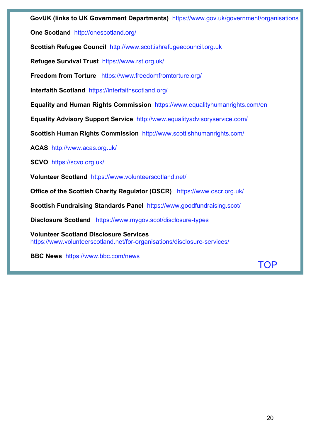**GovUK (links to UK Government Departments)** <https://www.gov.uk/government/organisations>

**One Scotland** <http://onescotland.org/>

**Scottish Refugee Council** [http://www.scottishrefugeecouncil.org.uk](http://www.scottishrefugeecouncil.org.uk/) 

**Refugee Survival Trust** <https://www.rst.org.uk/>

**Freedom from Torture** <https://www.freedomfromtorture.org/>

**Interfaith Scotland** <https://interfaithscotland.org/>

**Equality and Human Rights Commission** <https://www.equalityhumanrights.com/en>

**Equality Advisory Support Service** <http://www.equalityadvisoryservice.com/>

**Scottish Human Rights Commission** <http://www.scottishhumanrights.com/>

**ACAS** <http://www.acas.org.uk/>

**SCVO** <https://scvo.org.uk/>

**Volunteer Scotland** <https://www.volunteerscotland.net/>

**Office of the Scottish Charity Regulator (OSCR)** <https://www.oscr.org.uk/>

**Scottish Fundraising Standards Panel** <https://www.goodfundraising.scot/>

**Disclosure Scotland** <https://www.mygov.scot/disclosure-types>

**Volunteer Scotland Disclosure Services**  <https://www.volunteerscotland.net/for-organisations/disclosure-services/>

**BBC News** <https://www.bbc.com/news>

[TOP](#page-0-1)